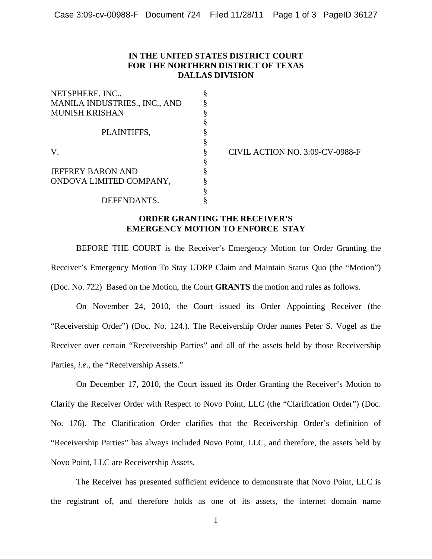## **IN THE UNITED STATES DISTRICT COURT FOR THE NORTHERN DISTRICT OF TEXAS DALLAS DIVISION**

| NETSPHERE, INC.,              |   |
|-------------------------------|---|
| MANILA INDUSTRIES., INC., AND |   |
| <b>MUNISH KRISHAN</b>         |   |
|                               | § |
| PLAINTIFFS,                   |   |
|                               | ş |
| V.                            | § |
|                               | § |
| <b>JEFFREY BARON AND</b>      | ş |
| ONDOVA LIMITED COMPANY,       |   |
|                               |   |
| DEFENDANTS.                   |   |

CIVIL ACTION NO. 3:09-CV-0988-F

## **ORDER GRANTING THE RECEIVER'S EMERGENCY MOTION TO ENFORCE STAY**

BEFORE THE COURT is the Receiver's Emergency Motion for Order Granting the Receiver's Emergency Motion To Stay UDRP Claim and Maintain Status Quo (the "Motion") (Doc. No. 722) Based on the Motion, the Court **GRANTS** the motion and rules as follows.

On November 24, 2010, the Court issued its Order Appointing Receiver (the "Receivership Order") (Doc. No. 124.). The Receivership Order names Peter S. Vogel as the Receiver over certain "Receivership Parties" and all of the assets held by those Receivership Parties, *i.e*., the "Receivership Assets."

On December 17, 2010, the Court issued its Order Granting the Receiver's Motion to Clarify the Receiver Order with Respect to Novo Point, LLC (the "Clarification Order") (Doc. No. 176). The Clarification Order clarifies that the Receivership Order's definition of "Receivership Parties" has always included Novo Point, LLC, and therefore, the assets held by Novo Point, LLC are Receivership Assets.

The Receiver has presented sufficient evidence to demonstrate that Novo Point, LLC is the registrant of, and therefore holds as one of its assets, the internet domain name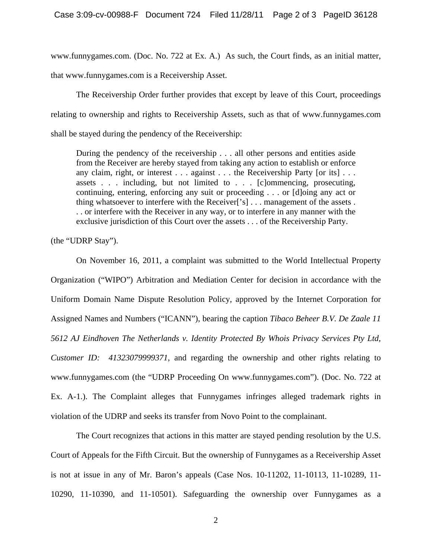www.funnygames.com. (Doc. No. 722 at Ex. A.) As such, the Court finds, as an initial matter, that www.funnygames.com is a Receivership Asset.

The Receivership Order further provides that except by leave of this Court, proceedings relating to ownership and rights to Receivership Assets, such as that of www.funnygames.com shall be stayed during the pendency of the Receivership:

During the pendency of the receivership . . . all other persons and entities aside from the Receiver are hereby stayed from taking any action to establish or enforce any claim, right, or interest . . . against . . . the Receivership Party [or its] . . . assets . . . including, but not limited to . . . [c]ommencing, prosecuting, continuing, entering, enforcing any suit or proceeding . . . or [d]oing any act or thing whatsoever to interfere with the Receiver['s] . . . management of the assets . . . or interfere with the Receiver in any way, or to interfere in any manner with the exclusive jurisdiction of this Court over the assets . . . of the Receivership Party.

(the "UDRP Stay").

On November 16, 2011, a complaint was submitted to the World Intellectual Property Organization ("WIPO") Arbitration and Mediation Center for decision in accordance with the Uniform Domain Name Dispute Resolution Policy, approved by the Internet Corporation for Assigned Names and Numbers ("ICANN"), bearing the caption *Tibaco Beheer B.V. De Zaale 11 5612 AJ Eindhoven The Netherlands v. Identity Protected By Whois Privacy Services Pty Ltd, Customer ID: 41323079999371*, and regarding the ownership and other rights relating to www.funnygames.com (the "UDRP Proceeding On www.funnygames.com"). (Doc. No. 722 at Ex. A-1.). The Complaint alleges that Funnygames infringes alleged trademark rights in violation of the UDRP and seeks its transfer from Novo Point to the complainant.

The Court recognizes that actions in this matter are stayed pending resolution by the U.S. Court of Appeals for the Fifth Circuit. But the ownership of Funnygames as a Receivership Asset is not at issue in any of Mr. Baron's appeals (Case Nos. 10-11202, 11-10113, 11-10289, 11- 10290, 11-10390, and 11-10501). Safeguarding the ownership over Funnygames as a